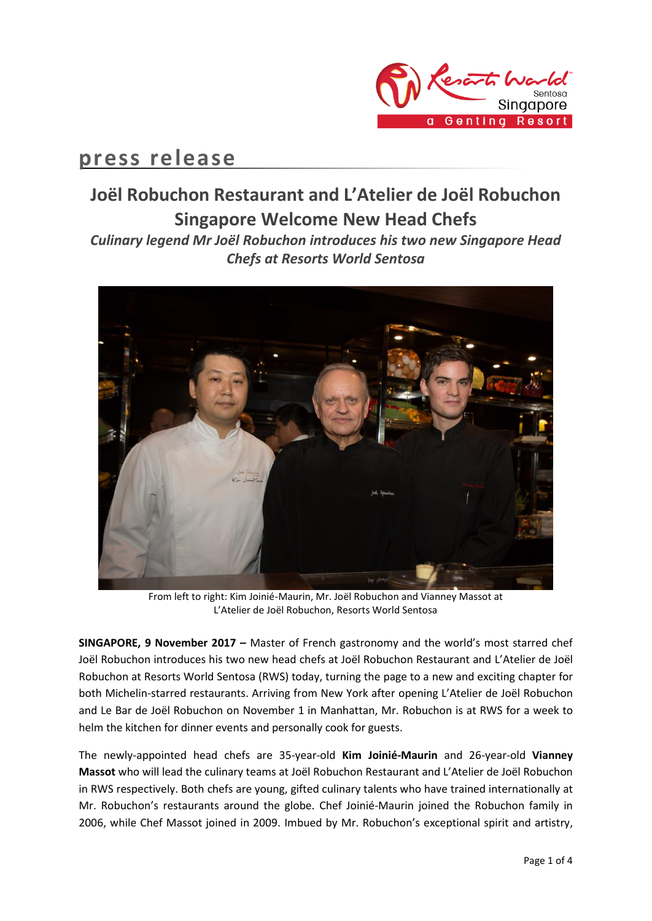

## **press release**

# **Joël Robuchon Restaurant and L'Atelier de Joël Robuchon Singapore Welcome New Head Chefs**

*Culinary legend Mr Joël Robuchon introduces his two new Singapore Head Chefs at Resorts World Sentosa*



From left to right: Kim Joinié-Maurin, Mr. Joël Robuchon and Vianney Massot at L'Atelier de Joël Robuchon, Resorts World Sentosa

**SINGAPORE, 9 November 2017 –** Master of French gastronomy and the world's most starred chef Joël Robuchon introduces his two new head chefs at Joël Robuchon Restaurant and L'Atelier de Joël Robuchon at Resorts World Sentosa (RWS) today, turning the page to a new and exciting chapter for both Michelin-starred restaurants. Arriving from New York after opening L'Atelier de Joël Robuchon and Le Bar de Joël Robuchon on November 1 in Manhattan, Mr. Robuchon is at RWS for a week to helm the kitchen for dinner events and personally cook for guests.

The newly-appointed head chefs are 35-year-old **Kim Joinié-Maurin** and 26-year-old **Vianney Massot** who will lead the culinary teams at Joël Robuchon Restaurant and L'Atelier de Joël Robuchon in RWS respectively. Both chefs are young, gifted culinary talents who have trained internationally at Mr. Robuchon's restaurants around the globe. Chef Joinié-Maurin joined the Robuchon family in 2006, while Chef Massot joined in 2009. Imbued by Mr. Robuchon's exceptional spirit and artistry,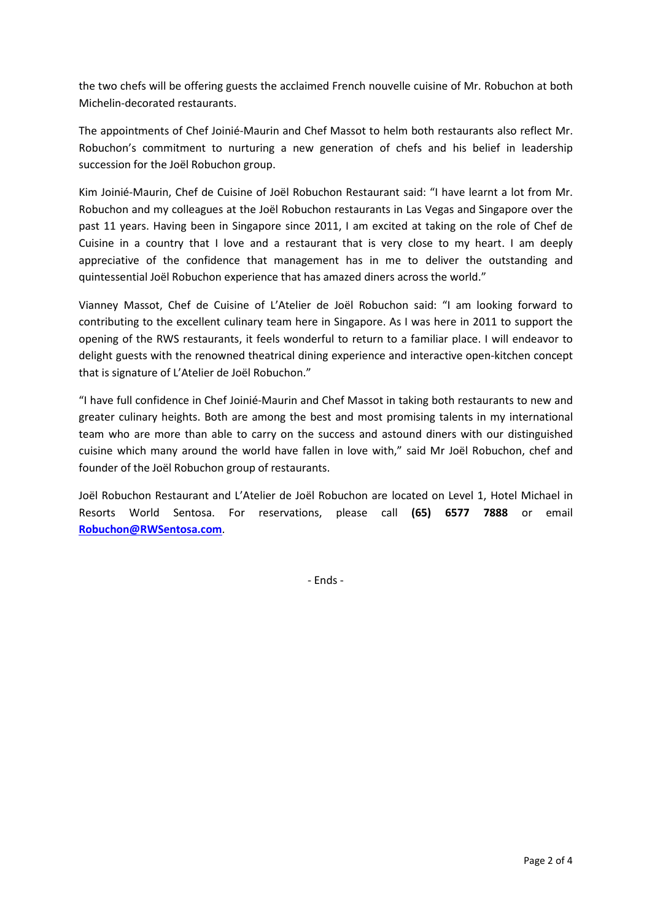the two chefs will be offering guests the acclaimed French nouvelle cuisine of Mr. Robuchon at both Michelin-decorated restaurants.

The appointments of Chef Joinié-Maurin and Chef Massot to helm both restaurants also reflect Mr. Robuchon's commitment to nurturing a new generation of chefs and his belief in leadership succession for the Joël Robuchon group.

Kim Joinié-Maurin, Chef de Cuisine of Joël Robuchon Restaurant said: "I have learnt a lot from Mr. Robuchon and my colleagues at the Joël Robuchon restaurants in Las Vegas and Singapore over the past 11 years. Having been in Singapore since 2011, I am excited at taking on the role of Chef de Cuisine in a country that I love and a restaurant that is very close to my heart. I am deeply appreciative of the confidence that management has in me to deliver the outstanding and quintessential Joël Robuchon experience that has amazed diners across the world."

Vianney Massot, Chef de Cuisine of L'Atelier de Joël Robuchon said: "I am looking forward to contributing to the excellent culinary team here in Singapore. As I was here in 2011 to support the opening of the RWS restaurants, it feels wonderful to return to a familiar place. I will endeavor to delight guests with the renowned theatrical dining experience and interactive open-kitchen concept that is signature of L'Atelier de Joël Robuchon."

"I have full confidence in Chef Joinié-Maurin and Chef Massot in taking both restaurants to new and greater culinary heights. Both are among the best and most promising talents in my international team who are more than able to carry on the success and astound diners with our distinguished cuisine which many around the world have fallen in love with," said Mr Joël Robuchon, chef and founder of the Joël Robuchon group of restaurants.

Joël Robuchon Restaurant and L'Atelier de Joël Robuchon are located on Level 1, Hotel Michael in Resorts World Sentosa. For reservations, please call **(65) 6577 7888** or email **[Robuchon@RWSentosa.com](mailto:Robuchon@RWSentosa.com)**.

- Ends -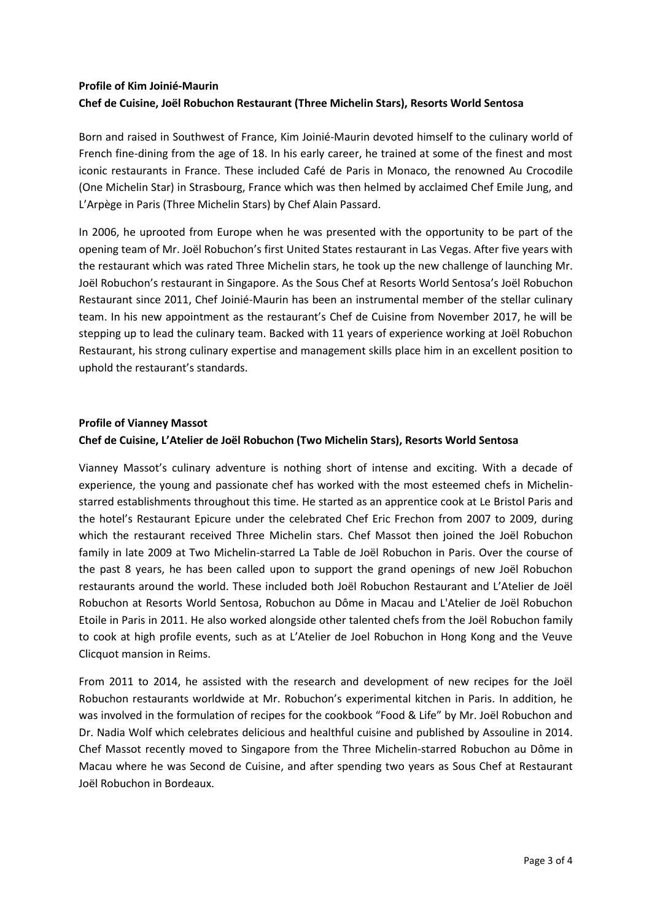## **Profile of Kim Joinié-Maurin Chef de Cuisine, Joël Robuchon Restaurant (Three Michelin Stars), Resorts World Sentosa**

Born and raised in Southwest of France, Kim Joinié-Maurin devoted himself to the culinary world of French fine-dining from the age of 18. In his early career, he trained at some of the finest and most iconic restaurants in France. These included Café de Paris in Monaco, the renowned Au Crocodile (One Michelin Star) in Strasbourg, France which was then helmed by acclaimed Chef Emile Jung, and L'Arpège in Paris (Three Michelin Stars) by Chef Alain Passard.

In 2006, he uprooted from Europe when he was presented with the opportunity to be part of the opening team of Mr. Joël Robuchon's first United States restaurant in Las Vegas. After five years with the restaurant which was rated Three Michelin stars, he took up the new challenge of launching Mr. Joël Robuchon's restaurant in Singapore. As the Sous Chef at Resorts World Sentosa's Joël Robuchon Restaurant since 2011, Chef Joinié-Maurin has been an instrumental member of the stellar culinary team. In his new appointment as the restaurant's Chef de Cuisine from November 2017, he will be stepping up to lead the culinary team. Backed with 11 years of experience working at Joël Robuchon Restaurant, his strong culinary expertise and management skills place him in an excellent position to uphold the restaurant's standards.

### **Profile of Vianney Massot**

## **Chef de Cuisine, L'Atelier de Joël Robuchon (Two Michelin Stars), Resorts World Sentosa**

Vianney Massot's culinary adventure is nothing short of intense and exciting. With a decade of experience, the young and passionate chef has worked with the most esteemed chefs in Michelinstarred establishments throughout this time. He started as an apprentice cook at Le Bristol Paris and the hotel's Restaurant Epicure under the celebrated Chef Eric Frechon from 2007 to 2009, during which the restaurant received Three Michelin stars. Chef Massot then joined the Joël Robuchon family in late 2009 at Two Michelin-starred La Table de Joël Robuchon in Paris. Over the course of the past 8 years, he has been called upon to support the grand openings of new Joël Robuchon restaurants around the world. These included both Joël Robuchon Restaurant and L'Atelier de Joël Robuchon at Resorts World Sentosa, Robuchon au Dôme in Macau and L'Atelier de Joël Robuchon Etoile in Paris in 2011. He also worked alongside other talented chefs from the Joël Robuchon family to cook at high profile events, such as at L'Atelier de Joel Robuchon in Hong Kong and the Veuve Clicquot mansion in Reims.

From 2011 to 2014, he assisted with the research and development of new recipes for the Joël Robuchon restaurants worldwide at Mr. Robuchon's experimental kitchen in Paris. In addition, he was involved in the formulation of recipes for the cookbook "Food & Life" by Mr. Joël Robuchon and Dr. Nadia Wolf which celebrates delicious and healthful cuisine and published by Assouline in 2014. Chef Massot recently moved to Singapore from the Three Michelin-starred Robuchon au Dôme in Macau where he was Second de Cuisine, and after spending two years as Sous Chef at Restaurant Joël Robuchon in Bordeaux.